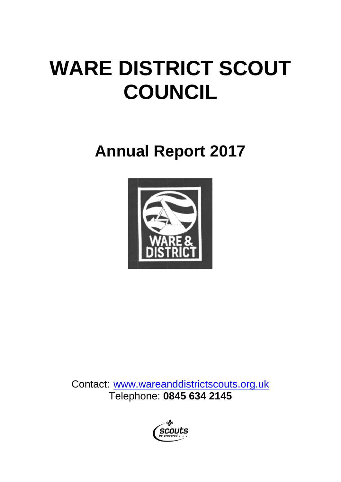# **WARE DISTRICT SCOUT COUNCIL**

## **Annual Report 2017**



Contact: [www.wareanddistrictscouts.org.uk](http://www.wareanddistrictscouts.org.uk/) Telephone: **0845 634 2145**

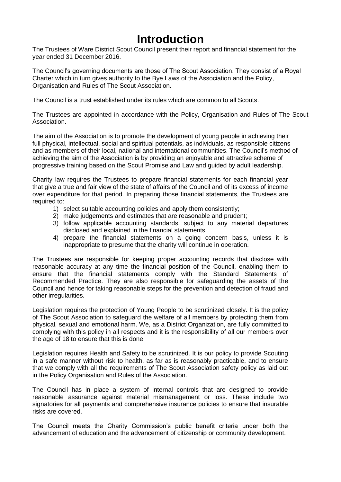### **Introduction**

The Trustees of Ware District Scout Council present their report and financial statement for the year ended 31 December 2016.

The Council's governing documents are those of The Scout Association. They consist of a Royal Charter which in turn gives authority to the Bye Laws of the Association and the Policy, Organisation and Rules of The Scout Association.

The Council is a trust established under its rules which are common to all Scouts.

The Trustees are appointed in accordance with the Policy, Organisation and Rules of The Scout Association.

The aim of the Association is to promote the development of young people in achieving their full physical, intellectual, social and spiritual potentials, as individuals, as responsible citizens and as members of their local, national and international communities. The Council's method of achieving the aim of the Association is by providing an enjoyable and attractive scheme of progressive training based on the Scout Promise and Law and guided by adult leadership.

Charity law requires the Trustees to prepare financial statements for each financial year that give a true and fair view of the state of affairs of the Council and of its excess of income over expenditure for that period. In preparing those financial statements, the Trustees are required to:

- 1) select suitable accounting policies and apply them consistently;
- 2) make judgements and estimates that are reasonable and prudent;
- 3) follow applicable accounting standards, subject to any material departures disclosed and explained in the financial statements;
- 4) prepare the financial statements on a going concern basis, unless it is inappropriate to presume that the charity will continue in operation.

The Trustees are responsible for keeping proper accounting records that disclose with reasonable accuracy at any time the financial position of the Council, enabling them to ensure that the financial statements comply with the Standard Statements of Recommended Practice. They are also responsible for safeguarding the assets of the Council and hence for taking reasonable steps for the prevention and detection of fraud and other irregularities.

Legislation requires the protection of Young People to be scrutinized closely. It is the policy of The Scout Association to safeguard the welfare of all members by protecting them from physical, sexual and emotional harm. We, as a District Organization, are fully committed to complying with this policy in all respects and it is the responsibility of all our members over the age of 18 to ensure that this is done.

Legislation requires Health and Safety to be scrutinized. It is our policy to provide Scouting in a safe manner without risk to health, as far as is reasonably practicable, and to ensure that we comply with all the requirements of The Scout Association safety policy as laid out in the Policy Organisation and Rules of the Association.

The Council has in place a system of internal controls that are designed to provide reasonable assurance against material mismanagement or loss. These include two signatories for all payments and comprehensive insurance policies to ensure that insurable risks are covered.

The Council meets the Charity Commission's public benefit criteria under both the advancement of education and the advancement of citizenship or community development.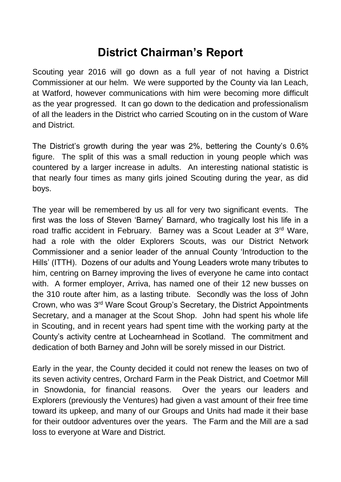### **District Chairman's Report**

Scouting year 2016 will go down as a full year of not having a District Commissioner at our helm. We were supported by the County via Ian Leach, at Watford, however communications with him were becoming more difficult as the year progressed. It can go down to the dedication and professionalism of all the leaders in the District who carried Scouting on in the custom of Ware and District.

The District's growth during the year was 2%, bettering the County's 0.6% figure. The split of this was a small reduction in young people which was countered by a larger increase in adults. An interesting national statistic is that nearly four times as many girls joined Scouting during the year, as did boys.

The year will be remembered by us all for very two significant events. The first was the loss of Steven 'Barney' Barnard, who tragically lost his life in a road traffic accident in February. Barney was a Scout Leader at 3rd Ware, had a role with the older Explorers Scouts, was our District Network Commissioner and a senior leader of the annual County 'Introduction to the Hills' (ITTH). Dozens of our adults and Young Leaders wrote many tributes to him, centring on Barney improving the lives of everyone he came into contact with. A former employer, Arriva, has named one of their 12 new busses on the 310 route after him, as a lasting tribute. Secondly was the loss of John Crown, who was 3rd Ware Scout Group's Secretary, the District Appointments Secretary, and a manager at the Scout Shop. John had spent his whole life in Scouting, and in recent years had spent time with the working party at the County's activity centre at Lochearnhead in Scotland. The commitment and dedication of both Barney and John will be sorely missed in our District.

Early in the year, the County decided it could not renew the leases on two of its seven activity centres, Orchard Farm in the Peak District, and Coetmor Mill in Snowdonia, for financial reasons. Over the years our leaders and Explorers (previously the Ventures) had given a vast amount of their free time toward its upkeep, and many of our Groups and Units had made it their base for their outdoor adventures over the years. The Farm and the Mill are a sad loss to everyone at Ware and District.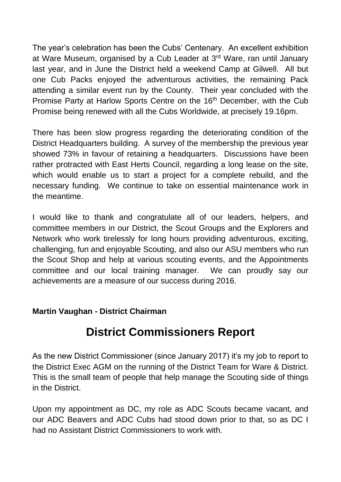The year's celebration has been the Cubs' Centenary. An excellent exhibition at Ware Museum, organised by a Cub Leader at 3rd Ware, ran until January last year, and in June the District held a weekend Camp at Gilwell. All but one Cub Packs enjoyed the adventurous activities, the remaining Pack attending a similar event run by the County. Their year concluded with the Promise Party at Harlow Sports Centre on the 16<sup>th</sup> December, with the Cub Promise being renewed with all the Cubs Worldwide, at precisely 19.16pm.

There has been slow progress regarding the deteriorating condition of the District Headquarters building. A survey of the membership the previous year showed 73% in favour of retaining a headquarters. Discussions have been rather protracted with East Herts Council, regarding a long lease on the site, which would enable us to start a project for a complete rebuild, and the necessary funding. We continue to take on essential maintenance work in the meantime.

I would like to thank and congratulate all of our leaders, helpers, and committee members in our District, the Scout Groups and the Explorers and Network who work tirelessly for long hours providing adventurous, exciting, challenging, fun and enjoyable Scouting, and also our ASU members who run the Scout Shop and help at various scouting events, and the Appointments committee and our local training manager. We can proudly say our achievements are a measure of our success during 2016.

#### **Martin Vaughan - District Chairman**

### **District Commissioners Report**

As the new District Commissioner (since January 2017) it's my job to report to the District Exec AGM on the running of the District Team for Ware & District. This is the small team of people that help manage the Scouting side of things in the District.

Upon my appointment as DC, my role as ADC Scouts became vacant, and our ADC Beavers and ADC Cubs had stood down prior to that, so as DC I had no Assistant District Commissioners to work with.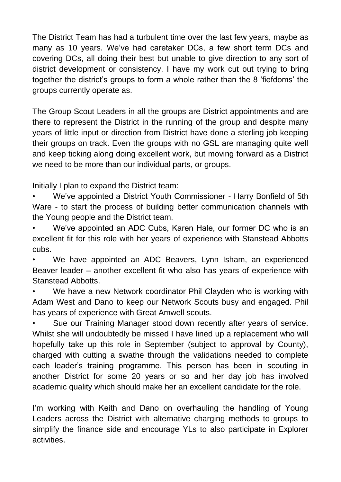The District Team has had a turbulent time over the last few years, maybe as many as 10 years. We've had caretaker DCs, a few short term DCs and covering DCs, all doing their best but unable to give direction to any sort of district development or consistency. I have my work cut out trying to bring together the district's groups to form a whole rather than the 8 'fiefdoms' the groups currently operate as.

The Group Scout Leaders in all the groups are District appointments and are there to represent the District in the running of the group and despite many years of little input or direction from District have done a sterling job keeping their groups on track. Even the groups with no GSL are managing quite well and keep ticking along doing excellent work, but moving forward as a District we need to be more than our individual parts, or groups.

Initially I plan to expand the District team:

• We've appointed a District Youth Commissioner - Harry Bonfield of 5th Ware - to start the process of building better communication channels with the Young people and the District team.

• We've appointed an ADC Cubs, Karen Hale, our former DC who is an excellent fit for this role with her years of experience with Stanstead Abbotts cubs.

We have appointed an ADC Beavers, Lynn Isham, an experienced Beaver leader – another excellent fit who also has years of experience with Stanstead Abbotts.

We have a new Network coordinator Phil Clayden who is working with Adam West and Dano to keep our Network Scouts busy and engaged. Phil has years of experience with Great Amwell scouts.

Sue our Training Manager stood down recently after years of service. Whilst she will undoubtedly be missed I have lined up a replacement who will hopefully take up this role in September (subject to approval by County), charged with cutting a swathe through the validations needed to complete each leader's training programme. This person has been in scouting in another District for some 20 years or so and her day job has involved academic quality which should make her an excellent candidate for the role.

I'm working with Keith and Dano on overhauling the handling of Young Leaders across the District with alternative charging methods to groups to simplify the finance side and encourage YLs to also participate in Explorer activities.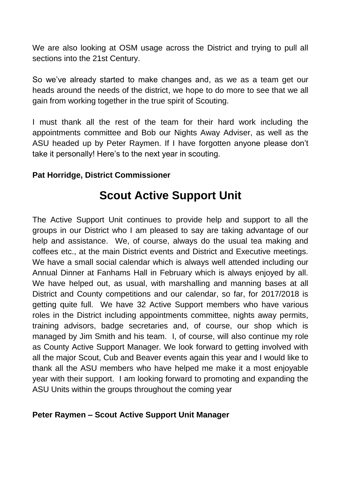We are also looking at OSM usage across the District and trying to pull all sections into the 21st Century.

So we've already started to make changes and, as we as a team get our heads around the needs of the district, we hope to do more to see that we all gain from working together in the true spirit of Scouting.

I must thank all the rest of the team for their hard work including the appointments committee and Bob our Nights Away Adviser, as well as the ASU headed up by Peter Raymen. If I have forgotten anyone please don't take it personally! Here's to the next year in scouting.

#### **Pat Horridge, District Commissioner**

### **Scout Active Support Unit**

The Active Support Unit continues to provide help and support to all the groups in our District who I am pleased to say are taking advantage of our help and assistance. We, of course, always do the usual tea making and coffees etc., at the main District events and District and Executive meetings. We have a small social calendar which is always well attended including our Annual Dinner at Fanhams Hall in February which is always enjoyed by all. We have helped out, as usual, with marshalling and manning bases at all District and County competitions and our calendar, so far, for 2017/2018 is getting quite full. We have 32 Active Support members who have various roles in the District including appointments committee, nights away permits, training advisors, badge secretaries and, of course, our shop which is managed by Jim Smith and his team. I, of course, will also continue my role as County Active Support Manager. We look forward to getting involved with all the major Scout, Cub and Beaver events again this year and I would like to thank all the ASU members who have helped me make it a most enjoyable year with their support. I am looking forward to promoting and expanding the ASU Units within the groups throughout the coming year

#### **Peter Raymen – Scout Active Support Unit Manager**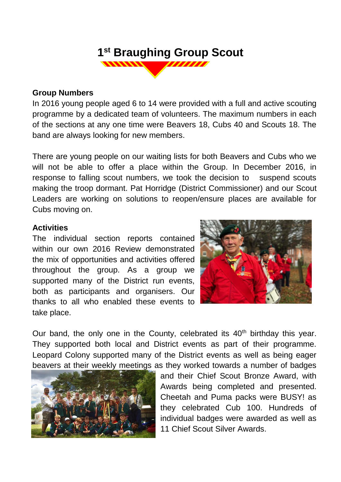#### **1 st Braughing Group Scout** 77777777  $\frac{1}{2}$

#### **Group Numbers**

In 2016 young people aged 6 to 14 were provided with a full and active scouting programme by a dedicated team of volunteers. The maximum numbers in each of the sections at any one time were Beavers 18, Cubs 40 and Scouts 18. The band are always looking for new members.

There are young people on our waiting lists for both Beavers and Cubs who we will not be able to offer a place within the Group. In December 2016, in response to falling scout numbers, we took the decision to suspend scouts making the troop dormant. Pat Horridge (District Commissioner) and our Scout Leaders are working on solutions to reopen/ensure places are available for Cubs moving on.

#### **Activities**

The individual section reports contained within our own 2016 Review demonstrated the mix of opportunities and activities offered throughout the group. As a group we supported many of the District run events, both as participants and organisers. Our thanks to all who enabled these events to take place.



Our band, the only one in the County, celebrated its  $40<sup>th</sup>$  birthday this year. They supported both local and District events as part of their programme. Leopard Colony supported many of the District events as well as being eager beavers at their weekly meetings as they worked towards a number of badges



and their Chief Scout Bronze Award, with Awards being completed and presented. Cheetah and Puma packs were BUSY! as they celebrated Cub 100. Hundreds of individual badges were awarded as well as 11 Chief Scout Silver Awards.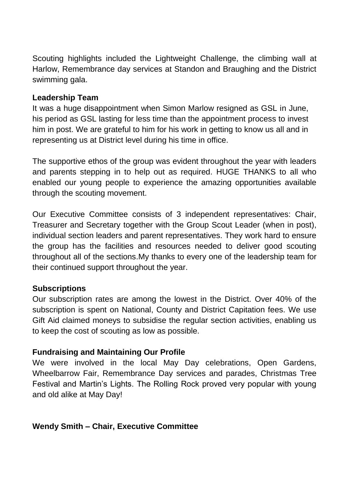Scouting highlights included the Lightweight Challenge, the climbing wall at Harlow, Remembrance day services at Standon and Braughing and the District swimming gala.

#### **Leadership Team**

It was a huge disappointment when Simon Marlow resigned as GSL in June, his period as GSL lasting for less time than the appointment process to invest him in post. We are grateful to him for his work in getting to know us all and in representing us at District level during his time in office.

The supportive ethos of the group was evident throughout the year with leaders and parents stepping in to help out as required. HUGE THANKS to all who enabled our young people to experience the amazing opportunities available through the scouting movement.

Our Executive Committee consists of 3 independent representatives: Chair, Treasurer and Secretary together with the Group Scout Leader (when in post), individual section leaders and parent representatives. They work hard to ensure the group has the facilities and resources needed to deliver good scouting throughout all of the sections.My thanks to every one of the leadership team for their continued support throughout the year.

#### **Subscriptions**

Our subscription rates are among the lowest in the District. Over 40% of the subscription is spent on National, County and District Capitation fees. We use Gift Aid claimed moneys to subsidise the regular section activities, enabling us to keep the cost of scouting as low as possible.

#### **Fundraising and Maintaining Our Profile**

We were involved in the local May Day celebrations, Open Gardens, Wheelbarrow Fair, Remembrance Day services and parades, Christmas Tree Festival and Martin's Lights. The Rolling Rock proved very popular with young and old alike at May Day!

#### **Wendy Smith – Chair, Executive Committee**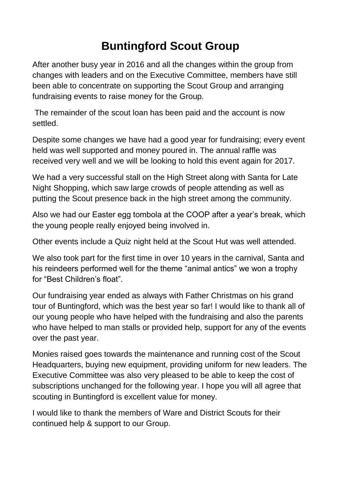### **Buntingford Scout Group**

After another busy year in 2016 and all the changes within the group from changes with leaders and on the Executive Committee, members have still been able to concentrate on supporting the Scout Group and arranging fundraising events to raise money for the Group.

The remainder of the scout loan has been paid and the account is now settled.

Despite some changes we have had a good year for fundraising; every event held was well supported and money poured in. The annual raffle was received very well and we will be looking to hold this event again for 2017.

We had a very successful stall on the High Street along with Santa for Late Night Shopping, which saw large crowds of people attending as well as putting the Scout presence back in the high street among the community.

Also we had our Easter egg tombola at the COOP after a year's break, which the young people really enjoyed being involved in.

Other events include a Quiz night held at the Scout Hut was well attended.

We also took part for the first time in over 10 years in the carnival, Santa and his reindeers performed well for the theme "animal antics" we won a trophy for "Best Children's float".

Our fundraising year ended as always with Father Christmas on his grand tour of Buntingford, which was the best year so far! I would like to thank all of our young people who have helped with the fundraising and also the parents who have helped to man stalls or provided help, support for any of the events over the past year.

Monies raised goes towards the maintenance and running cost of the Scout Headquarters, buying new equipment, providing uniform for new leaders. The Executive Committee was also very pleased to be able to keep the cost of subscriptions unchanged for the following year. I hope you will all agree that scouting in Buntingford is excellent value for money.

I would like to thank the members of Ware and District Scouts for their continued help & support to our Group.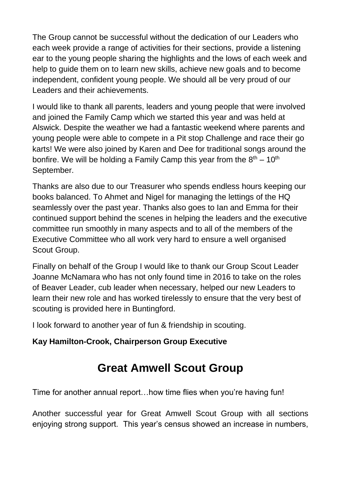The Group cannot be successful without the dedication of our Leaders who each week provide a range of activities for their sections, provide a listening ear to the young people sharing the highlights and the lows of each week and help to guide them on to learn new skills, achieve new goals and to become independent, confident young people. We should all be very proud of our Leaders and their achievements.

I would like to thank all parents, leaders and young people that were involved and joined the Family Camp which we started this year and was held at Alswick. Despite the weather we had a fantastic weekend where parents and young people were able to compete in a Pit stop Challenge and race their go karts! We were also joined by Karen and Dee for traditional songs around the bonfire. We will be holding a Family Camp this year from the  $8<sup>th</sup> - 10<sup>th</sup>$ September.

Thanks are also due to our Treasurer who spends endless hours keeping our books balanced. To Ahmet and Nigel for managing the lettings of the HQ seamlessly over the past year. Thanks also goes to Ian and Emma for their continued support behind the scenes in helping the leaders and the executive committee run smoothly in many aspects and to all of the members of the Executive Committee who all work very hard to ensure a well organised Scout Group.

Finally on behalf of the Group I would like to thank our Group Scout Leader Joanne McNamara who has not only found time in 2016 to take on the roles of Beaver Leader, cub leader when necessary, helped our new Leaders to learn their new role and has worked tirelessly to ensure that the very best of scouting is provided here in Buntingford.

I look forward to another year of fun & friendship in scouting.

#### **Kay Hamilton-Crook, Chairperson Group Executive**

### **Great Amwell Scout Group**

Time for another annual report…how time flies when you're having fun!

Another successful year for Great Amwell Scout Group with all sections enjoying strong support. This year's census showed an increase in numbers,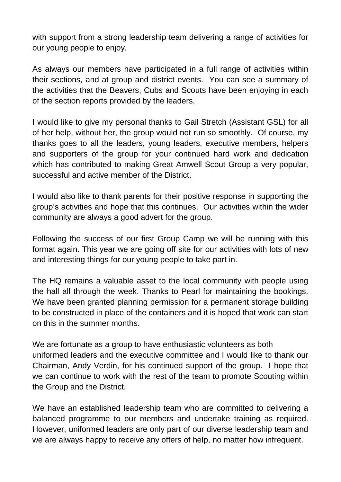with support from a strong leadership team delivering a range of activities for our young people to enjoy.

As always our members have participated in a full range of activities within their sections, and at group and district events. You can see a summary of the activities that the Beavers, Cubs and Scouts have been enjoying in each of the section reports provided by the leaders.

I would like to give my personal thanks to Gail Stretch (Assistant GSL) for all of her help, without her, the group would not run so smoothly. Of course, my thanks goes to all the leaders, young leaders, executive members, helpers and supporters of the group for your continued hard work and dedication which has contributed to making Great Amwell Scout Group a very popular, successful and active member of the District.

I would also like to thank parents for their positive response in supporting the group's activities and hope that this continues. Our activities within the wider community are always a good advert for the group.

Following the success of our first Group Camp we will be running with this format again. This year we are going off site for our activities with lots of new and interesting things for our young people to take part in.

The HQ remains a valuable asset to the local community with people using the hall all through the week. Thanks to Pearl for maintaining the bookings. We have been granted planning permission for a permanent storage building to be constructed in place of the containers and it is hoped that work can start on this in the summer months.

We are fortunate as a group to have enthusiastic volunteers as both uniformed leaders and the executive committee and I would like to thank our Chairman, Andy Verdin, for his continued support of the group. I hope that we can continue to work with the rest of the team to promote Scouting within the Group and the District.

We have an established leadership team who are committed to delivering a balanced programme to our members and undertake training as required. However, uniformed leaders are only part of our diverse leadership team and we are always happy to receive any offers of help, no matter how infrequent.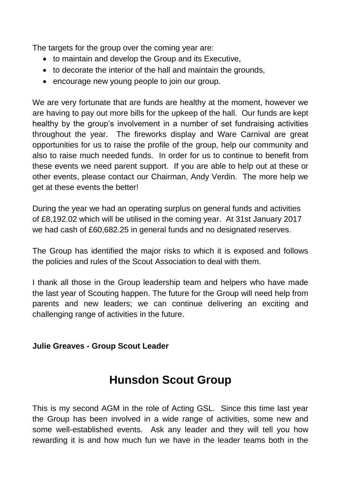The targets for the group over the coming year are:

- to maintain and develop the Group and its Executive,
- to decorate the interior of the hall and maintain the grounds,
- encourage new young people to join our group.

We are very fortunate that are funds are healthy at the moment, however we are having to pay out more bills for the upkeep of the hall. Our funds are kept healthy by the group's involvement in a number of set fundraising activities throughout the year. The fireworks display and Ware Carnival are great opportunities for us to raise the profile of the group, help our community and also to raise much needed funds. In order for us to continue to benefit from these events we need parent support. If you are able to help out at these or other events, please contact our Chairman, Andy Verdin. The more help we get at these events the better!

During the year we had an operating surplus on general funds and activities of £8,192.02 which will be utilised in the coming year. At 31st January 2017 we had cash of £60,682.25 in general funds and no designated reserves.

The Group has identified the major risks to which it is exposed and follows the policies and rules of the Scout Association to deal with them.

I thank all those in the Group leadership team and helpers who have made the last year of Scouting happen. The future for the Group will need help from parents and new leaders; we can continue delivering an exciting and challenging range of activities in the future.

#### **Julie Greaves - Group Scout Leader**

### **Hunsdon Scout Group**

This is my second AGM in the role of Acting GSL. Since this time last year the Group has been involved in a wide range of activities, some new and some well-established events. Ask any leader and they will tell you how rewarding it is and how much fun we have in the leader teams both in the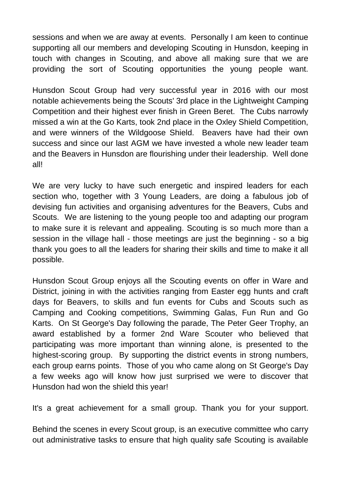sessions and when we are away at events. Personally I am keen to continue supporting all our members and developing Scouting in Hunsdon, keeping in touch with changes in Scouting, and above all making sure that we are providing the sort of Scouting opportunities the young people want.

Hunsdon Scout Group had very successful year in 2016 with our most notable achievements being the Scouts' 3rd place in the Lightweight Camping Competition and their highest ever finish in Green Beret. The Cubs narrowly missed a win at the Go Karts, took 2nd place in the Oxley Shield Competition, and were winners of the Wildgoose Shield. Beavers have had their own success and since our last AGM we have invested a whole new leader team and the Beavers in Hunsdon are flourishing under their leadership. Well done all!

We are very lucky to have such energetic and inspired leaders for each section who, together with 3 Young Leaders, are doing a fabulous job of devising fun activities and organising adventures for the Beavers, Cubs and Scouts. We are listening to the young people too and adapting our program to make sure it is relevant and appealing. Scouting is so much more than a session in the village hall - those meetings are just the beginning - so a big thank you goes to all the leaders for sharing their skills and time to make it all possible.

Hunsdon Scout Group enjoys all the Scouting events on offer in Ware and District, joining in with the activities ranging from Easter egg hunts and craft days for Beavers, to skills and fun events for Cubs and Scouts such as Camping and Cooking competitions, Swimming Galas, Fun Run and Go Karts. On St George's Day following the parade, The Peter Geer Trophy, an award established by a former 2nd Ware Scouter who believed that participating was more important than winning alone, is presented to the highest-scoring group. By supporting the district events in strong numbers, each group earns points. Those of you who came along on St George's Day a few weeks ago will know how just surprised we were to discover that Hunsdon had won the shield this year!

It's a great achievement for a small group. Thank you for your support.

Behind the scenes in every Scout group, is an executive committee who carry out administrative tasks to ensure that high quality safe Scouting is available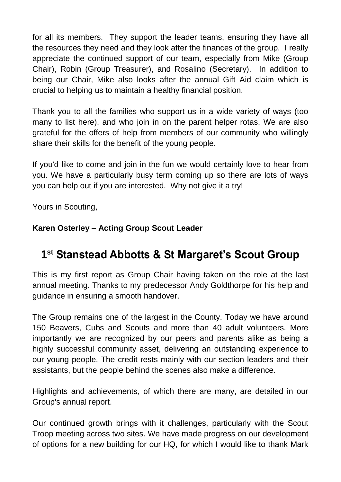for all its members. They support the leader teams, ensuring they have all the resources they need and they look after the finances of the group. I really appreciate the continued support of our team, especially from Mike (Group Chair), Robin (Group Treasurer), and Rosalino (Secretary). In addition to being our Chair, Mike also looks after the annual Gift Aid claim which is crucial to helping us to maintain a healthy financial position.

Thank you to all the families who support us in a wide variety of ways (too many to list here), and who join in on the parent helper rotas. We are also grateful for the offers of help from members of our community who willingly share their skills for the benefit of the young people.

If you'd like to come and join in the fun we would certainly love to hear from you. We have a particularly busy term coming up so there are lots of ways you can help out if you are interested. Why not give it a try!

Yours in Scouting,

#### **Karen Osterley – Acting Group Scout Leader**

### **1 st Stanstead Abbotts & St Margaret's Scout Group**

This is my first report as Group Chair having taken on the role at the last annual meeting. Thanks to my predecessor Andy Goldthorpe for his help and guidance in ensuring a smooth handover.

The Group remains one of the largest in the County. Today we have around 150 Beavers, Cubs and Scouts and more than 40 adult volunteers. More importantly we are recognized by our peers and parents alike as being a highly successful community asset, delivering an outstanding experience to our young people. The credit rests mainly with our section leaders and their assistants, but the people behind the scenes also make a difference.

Highlights and achievements, of which there are many, are detailed in our Group's annual report.

Our continued growth brings with it challenges, particularly with the Scout Troop meeting across two sites. We have made progress on our development of options for a new building for our HQ, for which I would like to thank Mark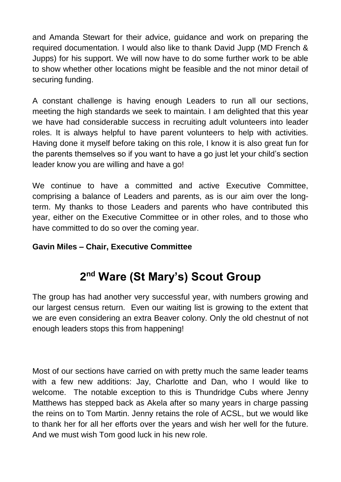and Amanda Stewart for their advice, guidance and work on preparing the required documentation. I would also like to thank David Jupp (MD French & Jupps) for his support. We will now have to do some further work to be able to show whether other locations might be feasible and the not minor detail of securing funding.

A constant challenge is having enough Leaders to run all our sections, meeting the high standards we seek to maintain. I am delighted that this year we have had considerable success in recruiting adult volunteers into leader roles. It is always helpful to have parent volunteers to help with activities. Having done it myself before taking on this role, I know it is also great fun for the parents themselves so if you want to have a go just let your child's section leader know you are willing and have a go!

We continue to have a committed and active Executive Committee, comprising a balance of Leaders and parents, as is our aim over the longterm. My thanks to those Leaders and parents who have contributed this year, either on the Executive Committee or in other roles, and to those who have committed to do so over the coming year.

#### **Gavin Miles – Chair, Executive Committee**

### **2 nd Ware (St Mary's) Scout Group**

The group has had another very successful year, with numbers growing and our largest census return. Even our waiting list is growing to the extent that we are even considering an extra Beaver colony. Only the old chestnut of not enough leaders stops this from happening!

Most of our sections have carried on with pretty much the same leader teams with a few new additions: Jay, Charlotte and Dan, who I would like to welcome. The notable exception to this is Thundridge Cubs where Jenny Matthews has stepped back as Akela after so many years in charge passing the reins on to Tom Martin. Jenny retains the role of ACSL, but we would like to thank her for all her efforts over the years and wish her well for the future. And we must wish Tom good luck in his new role.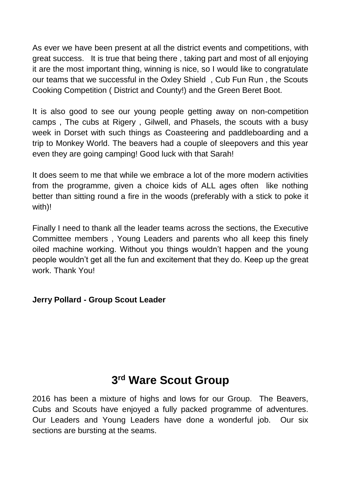As ever we have been present at all the district events and competitions, with great success. It is true that being there , taking part and most of all enjoying it are the most important thing, winning is nice, so I would like to congratulate our teams that we successful in the Oxley Shield , Cub Fun Run , the Scouts Cooking Competition ( District and County!) and the Green Beret Boot.

It is also good to see our young people getting away on non-competition camps , The cubs at Rigery , Gilwell, and Phasels, the scouts with a busy week in Dorset with such things as Coasteering and paddleboarding and a trip to Monkey World. The beavers had a couple of sleepovers and this year even they are going camping! Good luck with that Sarah!

It does seem to me that while we embrace a lot of the more modern activities from the programme, given a choice kids of ALL ages often like nothing better than sitting round a fire in the woods (preferably with a stick to poke it with)!

Finally I need to thank all the leader teams across the sections, the Executive Committee members , Young Leaders and parents who all keep this finely oiled machine working. Without you things wouldn't happen and the young people wouldn't get all the fun and excitement that they do. Keep up the great work. Thank You!

#### **Jerry Pollard - Group Scout Leader**

### **3 rd Ware Scout Group**

2016 has been a mixture of highs and lows for our Group. The Beavers, Cubs and Scouts have enjoyed a fully packed programme of adventures. Our Leaders and Young Leaders have done a wonderful job. Our six sections are bursting at the seams.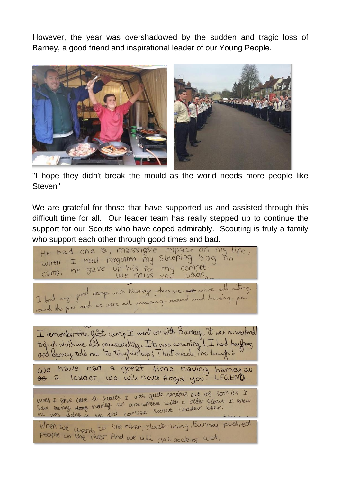However, the year was overshadowed by the sudden and tragic loss of Barney, a good friend and inspirational leader of our Young People.



"I hope they didn't break the mould as the world needs more people like Steven"

We are grateful for those that have supported us and assisted through this difficult time for all. Our leader team has really stepped up to continue the support for our Scouts who have coped admirably. Scouting is truly a family who support each other through good times and bad.

He had one &, massigue impact on my life, when I had forgotten my Sleeping bag on camp, he gave up his for my compot.  $100ds$ Le miss 400 lourisment I remember the first camp I went on with Barney, it was a weekend trip is which we did paraccending. It was amaring of I had hayoner, and Barney told me to tougher up. That made me laugh 's We have had a great time naving barneyas<br>as a leader, we will never forget you. LEGEND.  $26\alpha$ When I girl cane to starts I was quite nervious but as soon as I When I girl care to scarts I was quite nearbles but as soon as I<br>Saw vaney dang naville an am wester with a order scart I knew When we went to the river, slack-lining, Barney pushed people in the river. And we all got soaking wet,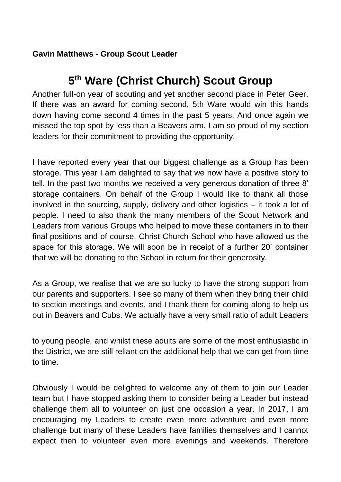#### **Gavin Matthews - Group Scout Leader**

### **5 th Ware (Christ Church) Scout Group**

Another full-on year of scouting and yet another second place in Peter Geer. If there was an award for coming second, 5th Ware would win this hands down having come second 4 times in the past 5 years. And once again we missed the top spot by less than a Beavers arm. I am so proud of my section leaders for their commitment to providing the opportunity.

I have reported every year that our biggest challenge as a Group has been storage. This year I am delighted to say that we now have a positive story to tell. In the past two months we received a very generous donation of three 8' storage containers. On behalf of the Group I would like to thank all those involved in the sourcing, supply, delivery and other logistics – it took a lot of people. I need to also thank the many members of the Scout Network and Leaders from various Groups who helped to move these containers in to their final positions and of course, Christ Church School who have allowed us the space for this storage. We will soon be in receipt of a further 20' container that we will be donating to the School in return for their generosity.

As a Group, we realise that we are so lucky to have the strong support from our parents and supporters. I see so many of them when they bring their child to section meetings and events, and I thank them for coming along to help us out in Beavers and Cubs. We actually have a very small ratio of adult Leaders

to young people, and whilst these adults are some of the most enthusiastic in the District, we are still reliant on the additional help that we can get from time to time.

Obviously I would be delighted to welcome any of them to join our Leader team but I have stopped asking them to consider being a Leader but instead challenge them all to volunteer on just one occasion a year. In 2017, I am encouraging my Leaders to create even more adventure and even more challenge but many of these Leaders have families themselves and I cannot expect then to volunteer even more evenings and weekends. Therefore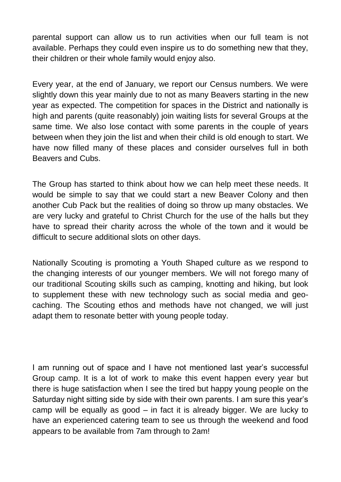parental support can allow us to run activities when our full team is not available. Perhaps they could even inspire us to do something new that they, their children or their whole family would enjoy also.

Every year, at the end of January, we report our Census numbers. We were slightly down this year mainly due to not as many Beavers starting in the new year as expected. The competition for spaces in the District and nationally is high and parents (quite reasonably) join waiting lists for several Groups at the same time. We also lose contact with some parents in the couple of years between when they join the list and when their child is old enough to start. We have now filled many of these places and consider ourselves full in both Beavers and Cubs.

The Group has started to think about how we can help meet these needs. It would be simple to say that we could start a new Beaver Colony and then another Cub Pack but the realities of doing so throw up many obstacles. We are very lucky and grateful to Christ Church for the use of the halls but they have to spread their charity across the whole of the town and it would be difficult to secure additional slots on other days.

Nationally Scouting is promoting a Youth Shaped culture as we respond to the changing interests of our younger members. We will not forego many of our traditional Scouting skills such as camping, knotting and hiking, but look to supplement these with new technology such as social media and geocaching. The Scouting ethos and methods have not changed, we will just adapt them to resonate better with young people today.

I am running out of space and I have not mentioned last year's successful Group camp. It is a lot of work to make this event happen every year but there is huge satisfaction when I see the tired but happy young people on the Saturday night sitting side by side with their own parents. I am sure this year's camp will be equally as good – in fact it is already bigger. We are lucky to have an experienced catering team to see us through the weekend and food appears to be available from 7am through to 2am!